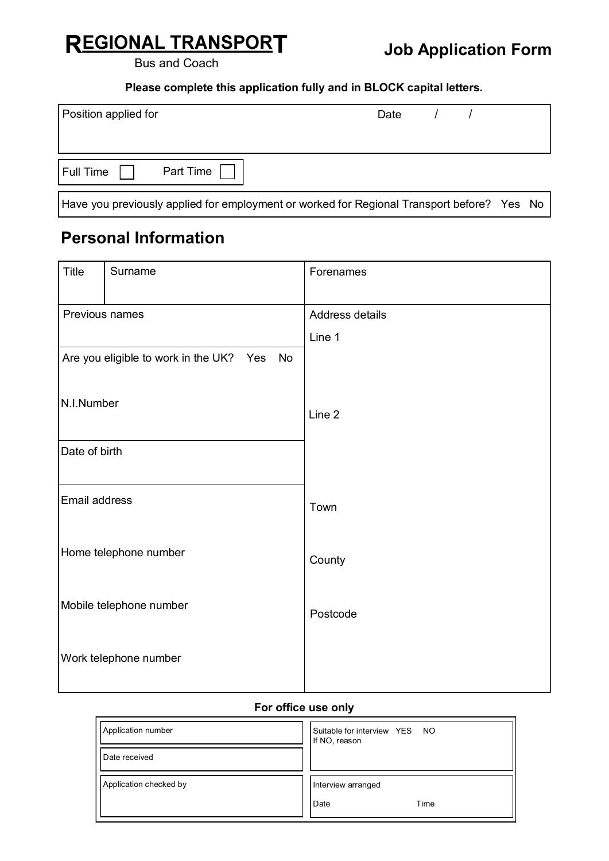# **REGIONAL TRANSPORT**

Bus and Coach

**Please complete this application fully and in BLOCK capital letters.**

| Position applied for   | Date |  |
|------------------------|------|--|
|                        |      |  |
| Part Time<br>Full Time |      |  |

Have you previously applied for employment or worked for Regional Transport before? Yes No

#### **Personal Information**

| Title          | Surname                                    | Forenames         |
|----------------|--------------------------------------------|-------------------|
| Previous names |                                            | Address details   |
|                |                                            | Line 1            |
|                | Are you eligible to work in the UK? Yes No |                   |
|                |                                            |                   |
| N.I.Number     |                                            | Line <sub>2</sub> |
| Date of birth  |                                            |                   |
|                |                                            |                   |
| Email address  |                                            | Town              |
|                |                                            |                   |
|                | Home telephone number                      | County            |
|                |                                            |                   |
|                | Mobile telephone number                    | Postcode          |
|                |                                            |                   |
|                | Work telephone number                      |                   |
|                |                                            |                   |

#### **For office use only**

| Application number     | Suitable for interview YES NO<br>If NO, reason |  |
|------------------------|------------------------------------------------|--|
| Date received          |                                                |  |
| Application checked by | Interview arranged                             |  |
|                        | Time<br>Date                                   |  |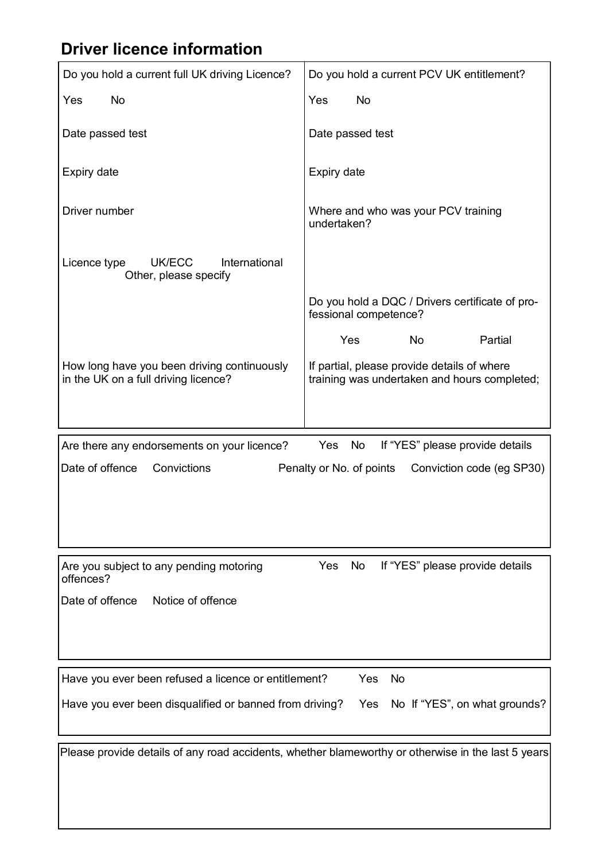# **Driver licence information**

| Do you hold a current full UK driving Licence?                                       | Do you hold a current PCV UK entitlement?                                                          |  |
|--------------------------------------------------------------------------------------|----------------------------------------------------------------------------------------------------|--|
| Yes<br><b>No</b>                                                                     | <b>Yes</b><br><b>No</b>                                                                            |  |
| Date passed test                                                                     | Date passed test                                                                                   |  |
| Expiry date                                                                          | Expiry date                                                                                        |  |
| Driver number                                                                        | Where and who was your PCV training<br>undertaken?                                                 |  |
| International<br>Licence type<br>UK/ECC<br>Other, please specify                     |                                                                                                    |  |
|                                                                                      | Do you hold a DQC / Drivers certificate of pro-<br>fessional competence?                           |  |
|                                                                                      | Yes<br>No<br>Partial                                                                               |  |
| How long have you been driving continuously<br>in the UK on a full driving licence?  | If partial, please provide details of where<br>training was undertaken and hours completed;        |  |
| Are there any endorsements on your licence?                                          | Yes<br>No<br>If "YES" please provide details                                                       |  |
| Date of offence<br>Convictions<br>Penalty or No. of points Conviction code (eg SP30) |                                                                                                    |  |
|                                                                                      |                                                                                                    |  |
|                                                                                      |                                                                                                    |  |
| Are you subject to any pending motoring<br>offences?                                 | <b>Yes</b><br>No<br>If "YES" please provide details                                                |  |
| Date of offence<br>Notice of offence                                                 |                                                                                                    |  |
|                                                                                      |                                                                                                    |  |
| Have you ever been refused a licence or entitlement?                                 | Yes<br><b>No</b>                                                                                   |  |
| Have you ever been disqualified or banned from driving?                              | Yes No If "YES", on what grounds?                                                                  |  |
|                                                                                      | Please provide details of any road accidents, whether blameworthy or otherwise in the last 5 years |  |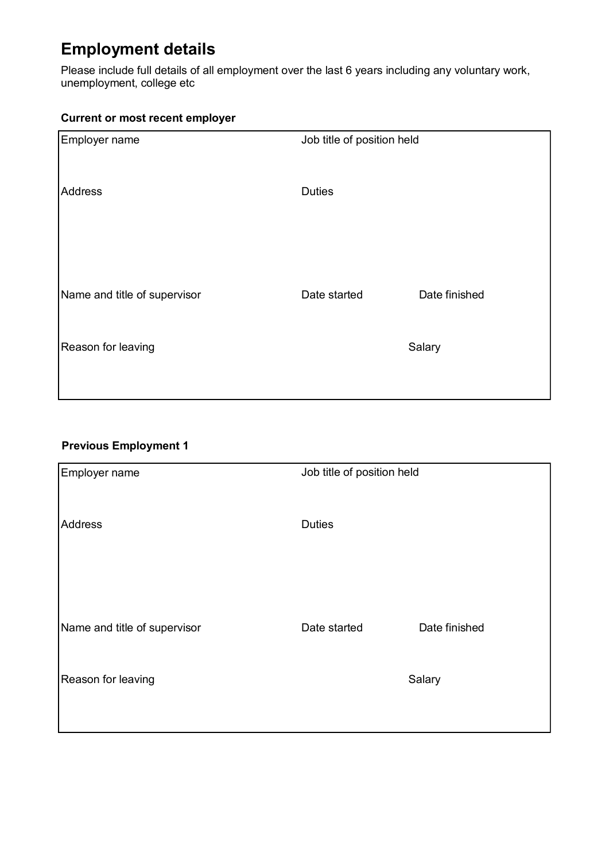# **Employment details**

Please include full details of all employment over the last 6 years including any voluntary work, unemployment, college etc

#### **Current or most recent employer**

| Employer name                | Job title of position held |               |  |
|------------------------------|----------------------------|---------------|--|
| Address                      | <b>Duties</b>              |               |  |
| Name and title of supervisor | Date started               | Date finished |  |
| Reason for leaving           |                            | Salary        |  |

#### **Previous Employment 1**

| Employer name                | Job title of position held |               |  |
|------------------------------|----------------------------|---------------|--|
| Address                      | <b>Duties</b>              |               |  |
| Name and title of supervisor | Date started               | Date finished |  |
| Reason for leaving           |                            | Salary        |  |
|                              |                            |               |  |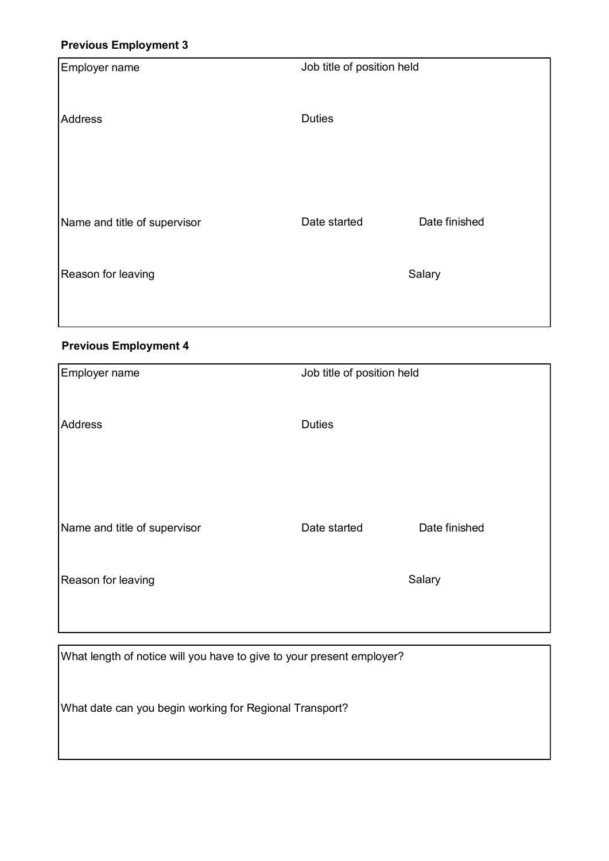#### **Previous Employment 3**

| Employer name                | Job title of position held |               |  |
|------------------------------|----------------------------|---------------|--|
|                              |                            |               |  |
| <b>Address</b>               | <b>Duties</b>              |               |  |
|                              |                            |               |  |
|                              |                            |               |  |
| Name and title of supervisor | Date started               | Date finished |  |
| Reason for leaving           |                            | Salary        |  |
|                              |                            |               |  |

#### **Previous Employment 4**

| Employer name                | Job title of position held |               |
|------------------------------|----------------------------|---------------|
|                              |                            |               |
| Address                      | <b>Duties</b>              |               |
|                              |                            |               |
|                              |                            |               |
| Name and title of supervisor | Date started               | Date finished |
| Reason for leaving           |                            | Salary        |
|                              |                            |               |

What length of notice will you have to give to your present employer?

What date can you begin working for Regional Transport?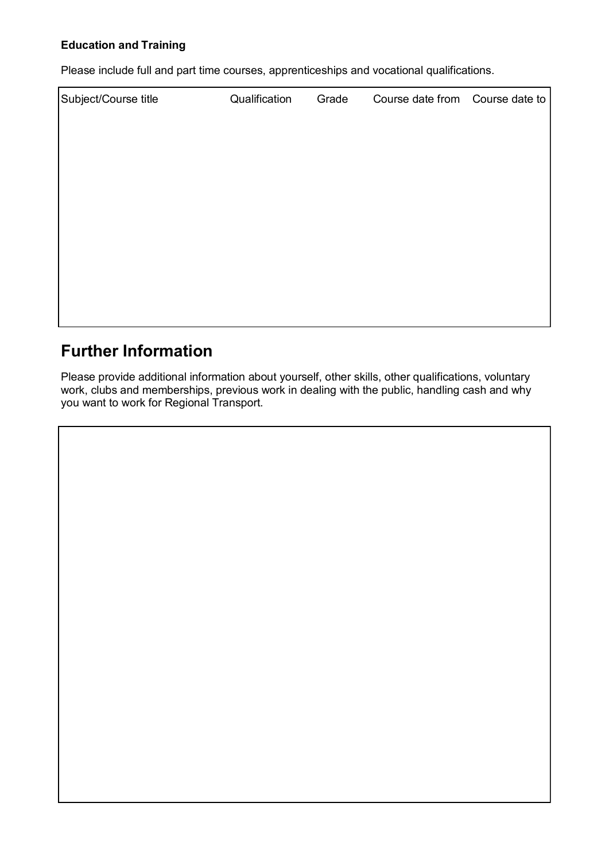#### **Education and Training**

Please include full and part time courses, apprenticeships and vocational qualifications.

| Subject/Course title | Qualification | Grade | Course date from Course date to |  |
|----------------------|---------------|-------|---------------------------------|--|
|                      |               |       |                                 |  |
|                      |               |       |                                 |  |
|                      |               |       |                                 |  |
|                      |               |       |                                 |  |
|                      |               |       |                                 |  |
|                      |               |       |                                 |  |
|                      |               |       |                                 |  |
|                      |               |       |                                 |  |
|                      |               |       |                                 |  |

### **Further Information**

Please provide additional information about yourself, other skills, other qualifications, voluntary work, clubs and memberships, previous work in dealing with the public, handling cash and why you want to work for Regional Transport.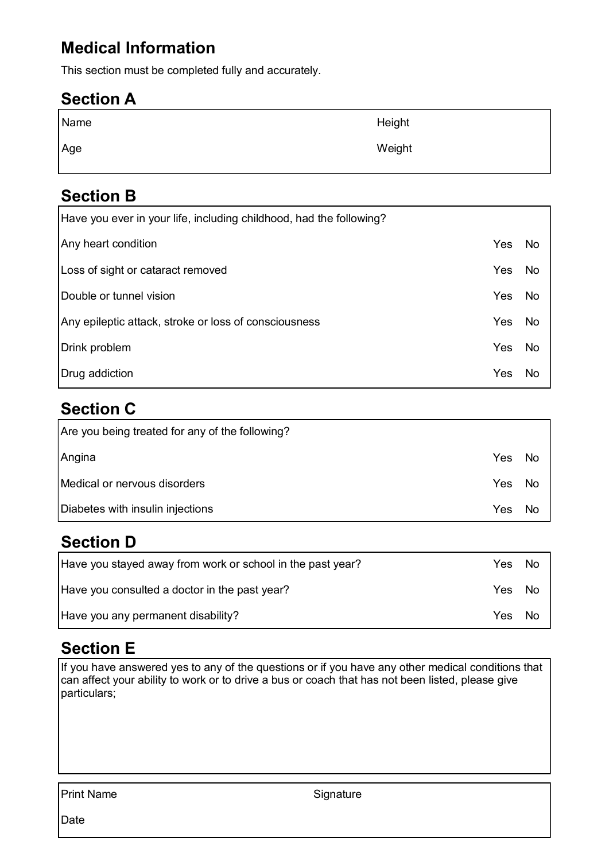# **Medical Information**

This section must be completed fully and accurately.

#### **Section A**

| Name | Height |
|------|--------|
| Age  | Weight |

#### **Section B**

| Have you ever in your life, including childhood, had the following? |     |           |
|---------------------------------------------------------------------|-----|-----------|
| Any heart condition                                                 | Yes | <b>No</b> |
| Loss of sight or cataract removed                                   | Yes | <b>No</b> |
| Double or tunnel vision                                             | Yes | <b>No</b> |
| Any epileptic attack, stroke or loss of consciousness               | Yes | <b>No</b> |
| Drink problem                                                       | Yes | <b>No</b> |
| Drug addiction                                                      | Yes | <b>No</b> |

# **Section C**

| Are you being treated for any of the following? |      |           |
|-------------------------------------------------|------|-----------|
| Angina                                          | Yes  | No.       |
| Medical or nervous disorders                    | Yes. | No        |
| Diabetes with insulin injections                | Yes  | <b>No</b> |

### **Section D**

| Have you stayed away from work or school in the past year? | Yes  | No.  |
|------------------------------------------------------------|------|------|
| Have you consulted a doctor in the past year?              | Yes. | -No  |
| Have you any permanent disability?                         | Yes. | . No |

### **Section E**

If you have answered yes to any of the questions or if you have any other medical conditions that can affect your ability to work or to drive a bus or coach that has not been listed, please give particulars;

Print Name Signature